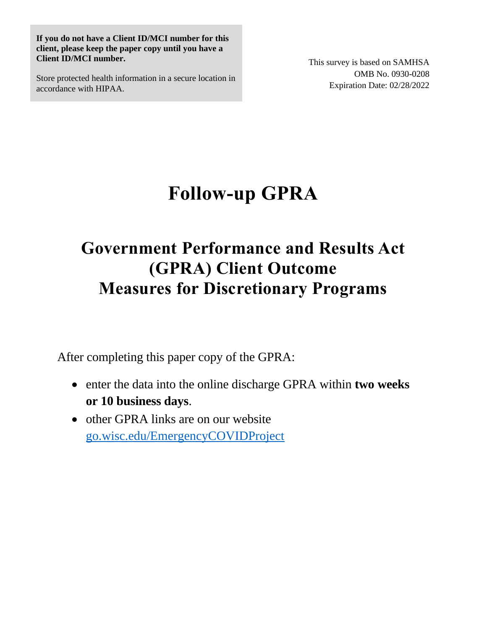**If you do not have a Client ID/MCI number for this client, please keep the paper copy until you have a Client ID/MCI number.** 

Store protected health information in a secure location in accordance with HIPAA.

This survey is based on SAMHSA OMB No. 0930-0208 Expiration Date: 02/28/2022

# **Follow-up GPRA**

# **Government Performance and Results Act (GPRA) Client Outcome Measures for Discretionary Programs**

After completing this paper copy of the GPRA:

- enter the data into the online discharge GPRA within **two weeks or 10 business days**.
- other GPRA links are on our website [go.wisc.edu/EmergencyCOVIDProject](http://go.wisc.edu/EmergencyCOVIDProject)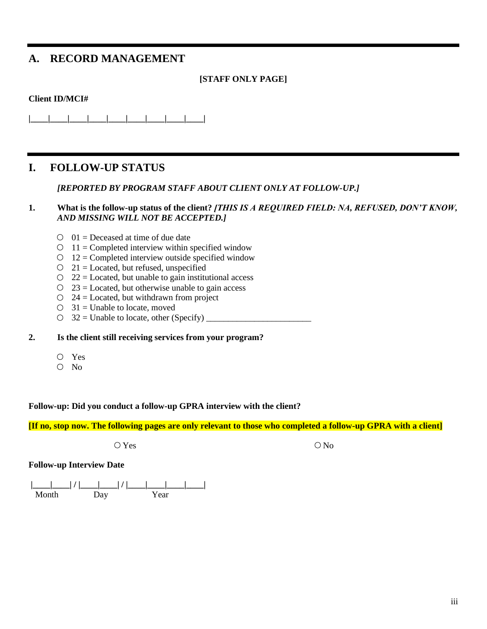### **A. RECORD MANAGEMENT**

#### **[STAFF ONLY PAGE]**

#### **Client ID/MCI#**

**|\_\_\_\_|\_\_\_\_|\_\_\_\_|\_\_\_\_|\_\_\_\_|\_\_\_\_|\_\_\_\_|\_\_\_\_|\_\_\_\_|**

### **I. FOLLOW-UP STATUS**

*[REPORTED BY PROGRAM STAFF ABOUT CLIENT ONLY AT FOLLOW-UP.]*

#### **1. What is the follow-up status of the client?** *[THIS IS A REQUIRED FIELD: NA, REFUSED, DON'T KNOW, AND MISSING WILL NOT BE ACCEPTED.]*

- $01 = Deceased$  at time of due date
- $0$  11 = Completed interview within specified window
- $0$  12 = Completed interview outside specified window
- $21 =$ Located, but refused, unspecified
- $22$  = Located, but unable to gain institutional access
- $23$  = Located, but otherwise unable to gain access
- $24 =$  Located, but withdrawn from project
- $\bigcirc$  31 = Unable to locate, moved
- $\bigcirc$  32 = Unable to locate, other (Specify)

#### **2. Is the client still receiving services from your program?**

- Yes
- No

#### **Follow-up: Did you conduct a follow-up GPRA interview with the client?**

**[If no, stop now. The following pages are only relevant to those who completed a follow-up GPRA with a client]**

 $Yes$   $\bigcirc$  No

#### **Follow-up Interview Date**

**|\_\_\_\_|\_\_\_\_| / |\_\_\_\_|\_\_\_\_| / |\_\_\_\_|\_\_\_\_|\_\_\_\_|\_\_\_\_|**  Month Day Year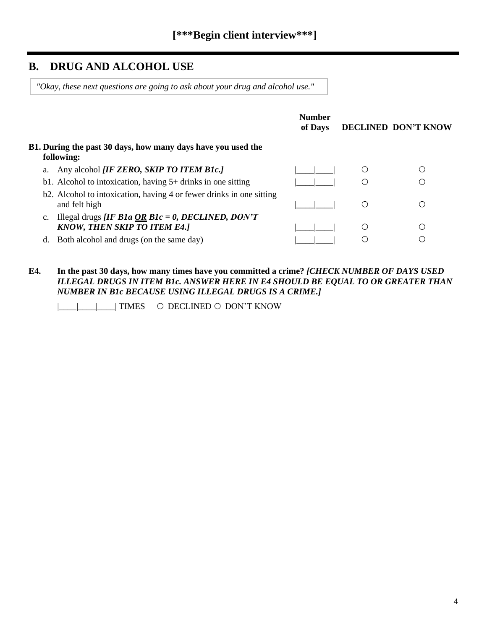### **B. DRUG AND ALCOHOL USE**

*"Okay, these next questions are going to ask about your drug and alcohol use."*

|                                                                                                 | <b>Number</b><br>of Days | <b>DECLINED DON'T KNOW</b> |
|-------------------------------------------------------------------------------------------------|--------------------------|----------------------------|
| B1. During the past 30 days, how many days have you used the<br>following:                      |                          |                            |
| Any alcohol <i>[IF ZERO, SKIP TO ITEM B1c.]</i><br>a.                                           |                          |                            |
| b1. Alcohol to intoxication, having $5+$ drinks in one sitting                                  |                          |                            |
| b2. Alcohol to intoxication, having 4 or fewer drinks in one sitting<br>and felt high           |                          |                            |
| Illegal drugs <i>[IF B1a OR B1c = 0, DECLINED, DON'T</i><br><b>KNOW, THEN SKIP TO ITEM E4.]</b> |                          |                            |
| Both alcohol and drugs (on the same day)<br>d.                                                  |                          |                            |

**E4. In the past 30 days, how many times have you committed a crime?** *[CHECK NUMBER OF DAYS USED ILLEGAL DRUGS IN ITEM B1c. ANSWER HERE IN E4 SHOULD BE EQUAL TO OR GREATER THAN NUMBER IN B1c BECAUSE USING ILLEGAL DRUGS IS A CRIME.]*

|\_\_\_\_|\_\_\_\_|\_\_\_\_| TIMES DECLINED DON'T KNOW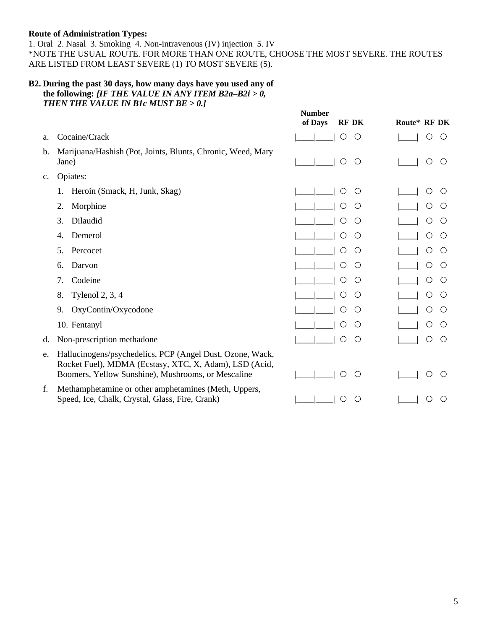#### **Route of Administration Types:**

1. Oral 2. Nasal 3. Smoking 4. Non-intravenous (IV) injection 5. IV \*NOTE THE USUAL ROUTE. FOR MORE THAN ONE ROUTE, CHOOSE THE MOST SEVERE. THE ROUTES ARE LISTED FROM LEAST SEVERE (1) TO MOST SEVERE (5).

#### **B2. During the past 30 days, how many days have you used any of the following:** *[IF THE VALUE IN ANY ITEM B2a–B2i > 0, THEN THE VALUE IN B1c MUST BE > 0.]*

|                |                                                                                                                                                                           | <b>Number</b><br>of Days<br><b>RF DK</b>    | Route* RF DK                  |
|----------------|---------------------------------------------------------------------------------------------------------------------------------------------------------------------------|---------------------------------------------|-------------------------------|
| a.             | Cocaine/Crack                                                                                                                                                             | $\bigcirc$<br>O                             | $\bigcirc$<br>Ő               |
| b.             | Marijuana/Hashish (Pot, Joints, Blunts, Chronic, Weed, Mary<br>Jane)                                                                                                      | ◯<br>◯                                      | $\bigcirc$<br>$\bigcirc$      |
| $\mathbf{c}$ . | Opiates:                                                                                                                                                                  |                                             |                               |
|                | Heroin (Smack, H, Junk, Skag)                                                                                                                                             | O<br>◯                                      | O<br>◯                        |
|                | Morphine<br>2.                                                                                                                                                            | O                                           | $\bigcirc$<br>$\circ$         |
|                | Dilaudid<br>3.                                                                                                                                                            | $\bigcirc$                                  | $\bigcirc$<br>$\circ$         |
|                | Demerol<br>4.                                                                                                                                                             | O<br>()                                     | O<br>$\bigcirc$               |
|                | Percocet<br>5.                                                                                                                                                            | O<br>$\circ$                                | O<br>$\bigcirc$               |
|                | Darvon<br>6.                                                                                                                                                              | О<br>$\left( \right)$                       | O<br>$\bigcirc$               |
|                | Codeine<br>7.                                                                                                                                                             | $\left(\right)$<br>()                       | $\circ$<br>$\left(\right)$    |
|                | 8.<br>Tylenol $2, 3, 4$                                                                                                                                                   | $\left(\right)$                             | O<br>$\bigcirc$               |
|                | OxyContin/Oxycodone<br>9.                                                                                                                                                 | $\circ$                                     | O<br>$\bigcirc$               |
|                | 10. Fentanyl                                                                                                                                                              | O<br>$\bigcirc$                             | O<br>$\bigcirc$               |
| d.             | Non-prescription methadone                                                                                                                                                | ◯<br>◯                                      | $\bigcirc$<br>$\circ$         |
| e.             | Hallucinogens/psychedelics, PCP (Angel Dust, Ozone, Wack,<br>Rocket Fuel), MDMA (Ecstasy, XTC, X, Adam), LSD (Acid,<br>Boomers, Yellow Sunshine), Mushrooms, or Mescaline | $\bigcirc$<br>∩                             | Ω<br>$\bigcirc$               |
| f.             | Methamphetamine or other amphetamines (Meth, Uppers,<br>Speed, Ice, Chalk, Crystal, Glass, Fire, Crank)                                                                   | $\left(\begin{array}{c} \end{array}\right)$ | $\bigcirc$<br>$\left(\right)$ |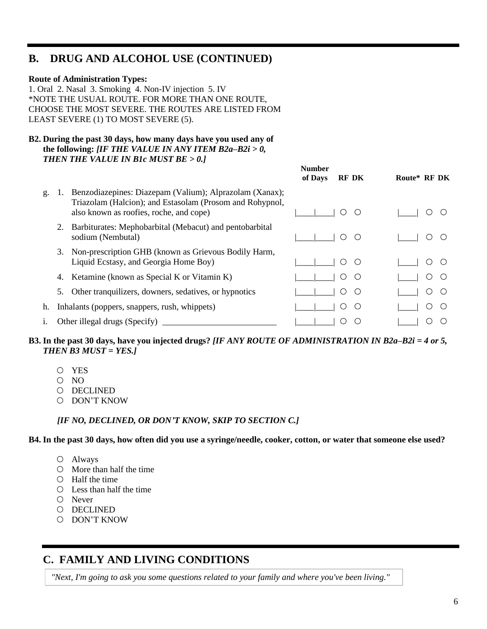### **B. DRUG AND ALCOHOL USE (CONTINUED)**

#### **Route of Administration Types:**

1. Oral 2. Nasal 3. Smoking 4. Non-IV injection 5. IV \*NOTE THE USUAL ROUTE. FOR MORE THAN ONE ROUTE, CHOOSE THE MOST SEVERE. THE ROUTES ARE LISTED FROM LEAST SEVERE (1) TO MOST SEVERE (5).

#### **B2. During the past 30 days, how many days have you used any of**  the following: *[IF THE VALUE IN ANY ITEM B2a–B2i > 0, THEN THE VALUE IN B1c MUST BE > 0.]*

|    |    |                                                                                                                                                                | <b>Number</b><br>of Days | <b>RF DK</b>     | Route* RF DK |
|----|----|----------------------------------------------------------------------------------------------------------------------------------------------------------------|--------------------------|------------------|--------------|
| g. |    | Benzodiazepines: Diazepam (Valium); Alprazolam (Xanax);<br>Triazolam (Halcion); and Estasolam (Prosom and Rohypnol,<br>also known as roofies, roche, and cope) |                          | ( )              |              |
|    |    | Barbiturates: Mephobarbital (Mebacut) and pentobarbital<br>sodium (Nembutal)                                                                                   |                          |                  |              |
|    | 3. | Non-prescription GHB (known as Grievous Bodily Harm,<br>Liquid Ecstasy, and Georgia Home Boy)                                                                  |                          | $\left( \right)$ |              |
|    | 4. | Ketamine (known as Special K or Vitamin K)                                                                                                                     |                          |                  |              |
|    | 5. | Other tranquilizers, downers, sedatives, or hypnotics                                                                                                          |                          |                  |              |
| h. |    | Inhalants (poppers, snappers, rush, whippets)                                                                                                                  |                          |                  |              |
|    |    | Other illegal drugs (Specify)                                                                                                                                  |                          |                  |              |

#### **B3. In the past 30 days, have you injected drugs?** *[IF ANY ROUTE OF ADMINISTRATION IN B2a–B2i = 4 or 5, THEN B3 MUST = YES.]*

- YES
- O NO
- O DECLINED
- DON'T KNOW

#### *[IF NO, DECLINED, OR DON'T KNOW, SKIP TO SECTION C.]*

**B4. In the past 30 days, how often did you use a syringe/needle, cooker, cotton, or water that someone else used?**

- Always
- $\circ$  More than half the time
- $O$  Half the time
- Less than half the time
- Never
- DECLINED
- O DON'T KNOW

### **C. FAMILY AND LIVING CONDITIONS**

*"Next, I'm going to ask you some questions related to your family and where you've been living."*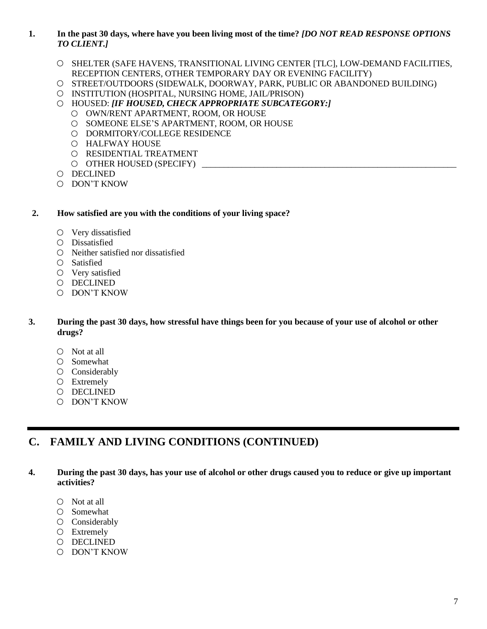- **1. In the past 30 days, where have you been living most of the time?** *[DO NOT READ RESPONSE OPTIONS TO CLIENT.]*
	- O SHELTER (SAFE HAVENS, TRANSITIONAL LIVING CENTER [TLC], LOW-DEMAND FACILITIES, RECEPTION CENTERS, OTHER TEMPORARY DAY OR EVENING FACILITY)
	- STREET/OUTDOORS (SIDEWALK, DOORWAY, PARK, PUBLIC OR ABANDONED BUILDING)
	- INSTITUTION (HOSPITAL, NURSING HOME, JAIL/PRISON)
	- HOUSED: *[IF HOUSED, CHECK APPROPRIATE SUBCATEGORY:]*
		- OWN/RENT APARTMENT, ROOM, OR HOUSE
		- O SOMEONE ELSE'S APARTMENT, ROOM, OR HOUSE
		- O DORMITORY/COLLEGE RESIDENCE
		- HALFWAY HOUSE
		- O RESIDENTIAL TREATMENT
		- $\bigcirc$  OTHER HOUSED (SPECIFY)
	- O DECLINED
	- O DON'T KNOW
- **2. How satisfied are you with the conditions of your living space?**
	- $\circ$  Very dissatisfied
	- Dissatisfied
	- $\circ$  Neither satisfied nor dissatisfied
	- Satisfied
	- Very satisfied
	- DECLINED
	- DON'T KNOW
- **3. During the past 30 days, how stressful have things been for you because of your use of alcohol or other drugs?** 
	- Not at all
	- Somewhat
	- O Considerably
	- Extremely
	- DECLINED
	- DON'T KNOW

### **C. FAMILY AND LIVING CONDITIONS (CONTINUED)**

#### **4. During the past 30 days, has your use of alcohol or other drugs caused you to reduce or give up important activities?**

- Not at all
- Somewhat
- O Considerably
- Extremely
- O DECLINED
- DON'T KNOW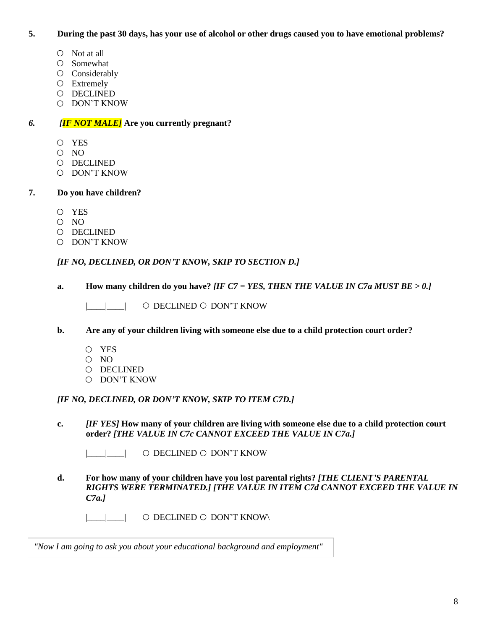#### **5. During the past 30 days, has your use of alcohol or other drugs caused you to have emotional problems?**

- $\bigcirc$  Not at all
- O Somewhat
- O Considerably
- Extremely
- O DECLINED
- DON'T KNOW

#### *6. [IF NOT MALE]* **Are you currently pregnant?**

- YES
- O NO
- O DECLINED
- DON'T KNOW

#### **7. Do you have children?**

- YES
- O NO
- O DECLINED
- DON'T KNOW

#### *[IF NO, DECLINED, OR DON'T KNOW, SKIP TO SECTION D.]*

**a. How many children do you have?** *[IF C7 = YES, THEN THE VALUE IN C7a MUST BE > 0.]*

|\_\_\_|\_\_\_| O DECLINED O DON'T KNOW

#### **b. Are any of your children living with someone else due to a child protection court order?**

- YES
- O NO
- O DECLINED
- DON'T KNOW

#### *[IF NO, DECLINED, OR DON'T KNOW, SKIP TO ITEM C7D.]*

**c.** *[IF YES]* **How many of your children are living with someone else due to a child protection court order?** *[THE VALUE IN C7c CANNOT EXCEED THE VALUE IN C7a.]*

| | | O DECLINED O DON'T KNOW

- **d. For how many of your children have you lost parental rights?** *[THE CLIENT'S PARENTAL RIGHTS WERE TERMINATED.] [THE VALUE IN ITEM C7d CANNOT EXCEED THE VALUE IN C7a.]*
	- | | | | | | O DECLINED O DON'T KNOW\

*"Now I am going to ask you about your educational background and employment"*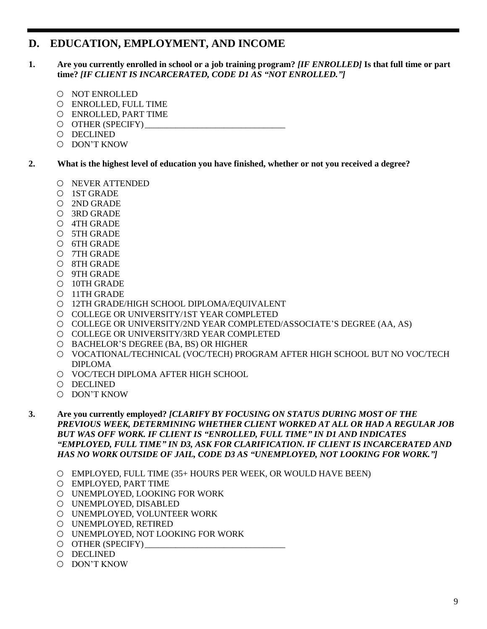### **D. EDUCATION, EMPLOYMENT, AND INCOME**

#### **1. Are you currently enrolled in school or a job training program?** *[IF ENROLLED]* **Is that full time or part time?** *[IF CLIENT IS INCARCERATED, CODE D1 AS "NOT ENROLLED."]*

- O NOT ENROLLED
- ENROLLED, FULL TIME
- ENROLLED, PART TIME
- $\circ$  OTHER (SPECIFY)
- DECLINED
- DON'T KNOW

#### **2. What is the highest level of education you have finished, whether or not you received a degree?**

- O NEVER ATTENDED
- 1ST GRADE
- 2ND GRADE
- 3RD GRADE
- 4TH GRADE
- 5TH GRADE
- 6TH GRADE
- 7TH GRADE
- 8TH GRADE
- 9TH GRADE
- 10TH GRADE
- 11TH GRADE
- 12TH GRADE/HIGH SCHOOL DIPLOMA/EQUIVALENT
- COLLEGE OR UNIVERSITY/1ST YEAR COMPLETED
- COLLEGE OR UNIVERSITY/2ND YEAR COMPLETED/ASSOCIATE'S DEGREE (AA, AS)
- COLLEGE OR UNIVERSITY/3RD YEAR COMPLETED
- BACHELOR'S DEGREE (BA, BS) OR HIGHER
- VOCATIONAL/TECHNICAL (VOC/TECH) PROGRAM AFTER HIGH SCHOOL BUT NO VOC/TECH DIPLOMA
- O VOC/TECH DIPLOMA AFTER HIGH SCHOOL
- O DECLINED
- DON'T KNOW

#### **3. Are you currently employed?** *[CLARIFY BY FOCUSING ON STATUS DURING MOST OF THE PREVIOUS WEEK, DETERMINING WHETHER CLIENT WORKED AT ALL OR HAD A REGULAR JOB BUT WAS OFF WORK. IF CLIENT IS "ENROLLED, FULL TIME" IN D1 AND INDICATES "EMPLOYED, FULL TIME" IN D3, ASK FOR CLARIFICATION. IF CLIENT IS INCARCERATED AND HAS NO WORK OUTSIDE OF JAIL, CODE D3 AS "UNEMPLOYED, NOT LOOKING FOR WORK."]*

- EMPLOYED, FULL TIME (35+ HOURS PER WEEK, OR WOULD HAVE BEEN)
- EMPLOYED, PART TIME
- O UNEMPLOYED, LOOKING FOR WORK
- UNEMPLOYED, DISABLED
- O UNEMPLOYED, VOLUNTEER WORK
- UNEMPLOYED, RETIRED
- UNEMPLOYED, NOT LOOKING FOR WORK
- $\circ$  OTHER (SPECIFY)
- DECLINED
- DON'T KNOW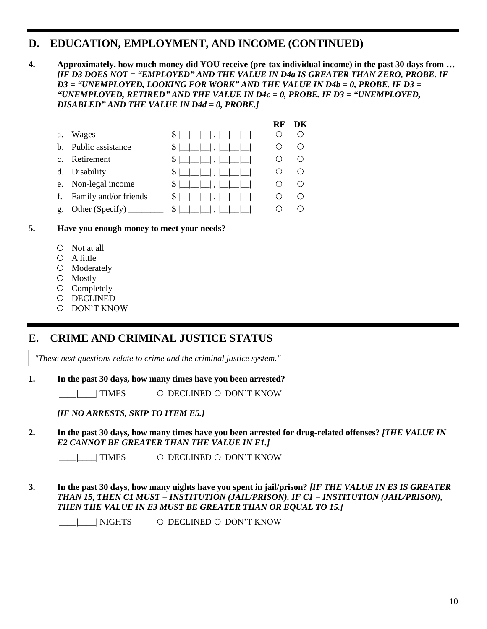### **D. EDUCATION, EMPLOYMENT, AND INCOME (CONTINUED)**

**4. Approximately, how much money did YOU receive (pre-tax individual income) in the past 30 days from …**  *[IF D3 DOES NOT = "EMPLOYED" AND THE VALUE IN D4a IS GREATER THAN ZERO, PROBE. IF D3 = "UNEMPLOYED, LOOKING FOR WORK" AND THE VALUE IN D4b = 0, PROBE. IF D3 = "UNEMPLOYED, RETIRED" AND THE VALUE IN D4c = 0, PROBE. IF D3 = "UNEMPLOYED, DISABLED" AND THE VALUE IN D4d = 0, PROBE.]*

|                |                                          |                                                      | RF | DК |
|----------------|------------------------------------------|------------------------------------------------------|----|----|
| a.             | Wages                                    | $S$ $\Box$ $\Box$ $\Box$ $\Box$ $\Box$ $\Box$ $\Box$ |    |    |
| b.             | Public assistance                        | $\frac{1}{2}$                                        |    |    |
| $c_{\cdot}$    | Retirement                               | $ S $ $\Box$ $\Box$ $\Box$ $\Box$ $\Box$             |    |    |
|                | d. Disability                            | $\frac{1}{2}$                                        |    |    |
|                | e. Non-legal income                      | $ S $ $\Box$ $\Box$ $\Box$ $\Box$ $\Box$             |    |    |
|                | f. Family and/or friends                 |                                                      |    |    |
| $\mathbf{g}$ . | Other (Specify) $\overline{\phantom{a}}$ | $S \vert$                                            |    |    |

#### **5. Have you enough money to meet your needs?**

- $\circ$  Not at all
- $O$  A little
- Moderately
- Mostly
- $\circ$  Completely
- DECLINED
- DON'T KNOW

### **E. CRIME AND CRIMINAL JUSTICE STATUS**

*"These next questions relate to crime and the criminal justice system."*

#### **1. In the past 30 days, how many times have you been arrested?**

|\_\_\_\_|\_\_\_\_| TIMES DECLINED DON'T KNOW

#### *[IF NO ARRESTS, SKIP TO ITEM E5.]*

#### **2. In the past 30 days, how many times have you been arrested for drug-related offenses?** *[THE VALUE IN E2 CANNOT BE GREATER THAN THE VALUE IN E1.]*

| | | | TIMES O DECLINED O DON'T KNOW

#### **3. In the past 30 days, how many nights have you spent in jail/prison?** *[IF THE VALUE IN E3 IS GREATER THAN 15, THEN C1 MUST = INSTITUTION (JAIL/PRISON). IF C1 = INSTITUTION (JAIL/PRISON), THEN THE VALUE IN E3 MUST BE GREATER THAN OR EQUAL TO 15.]*

| INIGHTS O DECLINED O DON'T KNOW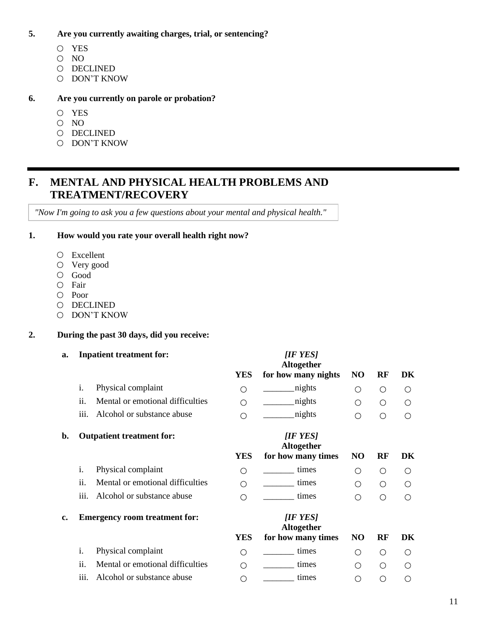#### **5. Are you currently awaiting charges, trial, or sentencing?**

- YES
- $O$  NO
- O DECLINED
- DON'T KNOW

#### **6. Are you currently on parole or probation?**

- YES
- O NO
- O DECLINED
- DON'T KNOW

### **F. MENTAL AND PHYSICAL HEALTH PROBLEMS AND TREATMENT/RECOVERY**

*"Now I'm going to ask you a few questions about your mental and physical health."*

#### **1. How would you rate your overall health right now?**

- Excellent
- Very good
- Good
- Fair
- Poor
- O DECLINED
- DON'T KNOW

#### **2. During the past 30 days, did you receive:**

| a. | <b>Inpatient treatment for:</b>         | <b>IIF YESI</b><br>Altogether |                                                            |                |    |    |
|----|-----------------------------------------|-------------------------------|------------------------------------------------------------|----------------|----|----|
|    |                                         | YES                           | for how many nights                                        | N <sub>O</sub> | RF | DK |
|    | i.<br>Physical complaint                | Ο                             | nights                                                     | ∩              | Ο  | ∩  |
|    | ii.<br>Mental or emotional difficulties |                               | nights                                                     | ∩              | ◯  | ∩  |
|    | iii.<br>Alcohol or substance abuse      |                               | nights                                                     | Ω              | O  | ∩  |
| b. | <b>Outpatient treatment for:</b>        | YES                           | <b>IIF YESI</b><br>Altogether<br>for how many times        | N <sub>O</sub> | RF | DK |
|    | Physical complaint<br>i.                | Ο                             | times                                                      | ◯              | ◯  | ◯  |
|    | Mental or emotional difficulties<br>11. | ∩                             | times                                                      | ∩              | ∩  | ∩  |
|    | Alcohol or substance abuse<br>111.      | ∩                             | times                                                      | Ω              | ∩  | ∩  |
| c. | <b>Emergency room treatment for:</b>    | YES                           | <b>[IF YES]</b><br><b>Altogether</b><br>for how many times | NO             | RF | DK |

- i. Physical complaint  $\qquad \qquad \circ$  \_\_\_\_\_\_\_\_ times ii. Mental or emotional difficulties  $\bigcirc$  \_\_\_\_\_\_\_ times
- iii. Alcohol or substance abuse  $\bigcirc$  \_\_\_\_\_\_\_\_\_ times

| $\left( \right)$ | $\left( \right)$ |
|------------------|------------------|
|                  |                  |

 $\bigcirc$ 

 $\bigcirc$ 

 $\bigcirc$ 

 $\bigcirc$ 

 $\bigcirc$ 

 $\circ$ 

 $\bigcirc$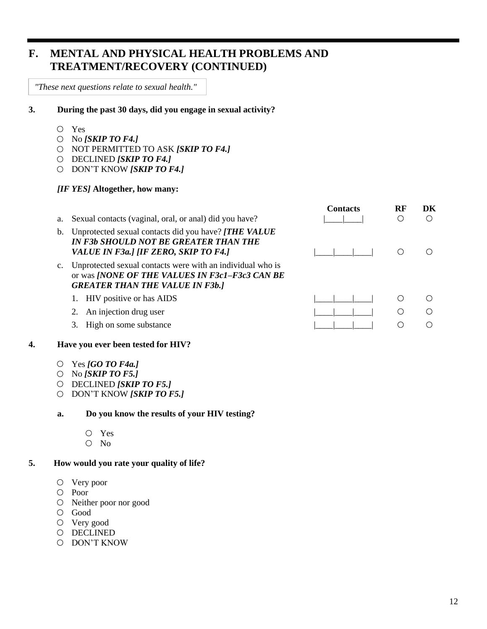### **F. MENTAL AND PHYSICAL HEALTH PROBLEMS AND TREATMENT/RECOVERY (CONTINUED)**

*"These next questions relate to sexual health."*

- **3. During the past 30 days, did you engage in sexual activity?**
	- Yes
	- No *[SKIP TO F4.]*
	- NOT PERMITTED TO ASK *[SKIP TO F4.]*
	- DECLINED *[SKIP TO F4.]*
	- DON'T KNOW *[SKIP TO F4.]*

#### *[IF YES]* **Altogether, how many:**

| а. | Sexual contacts (vaginal, oral, or anal) did you have?                                                                                                        | <b>Contacts</b> | RF       | DK |
|----|---------------------------------------------------------------------------------------------------------------------------------------------------------------|-----------------|----------|----|
|    | b. Unprotected sexual contacts did you have? <b>[THE VALUE</b><br><b>IN F3b SHOULD NOT BE GREATER THAN THE</b><br>VALUE IN F3a.] [IF ZERO, SKIP TO F4.]       |                 |          |    |
| c. | Unprotected sexual contacts were with an individual who is<br>or was <i>[NONE OF THE VALUES IN F3c1-F3c3 CAN BE</i><br><b>GREATER THAN THE VALUE IN F3b.]</b> |                 |          |    |
|    | HIV positive or has AIDS                                                                                                                                      |                 | ()       |    |
|    | An injection drug user                                                                                                                                        |                 | $\ldots$ |    |
|    | High on some substance                                                                                                                                        |                 |          |    |

#### **4. Have you ever been tested for HIV?**

- Yes *[GO TO F4a.]*
- No *[SKIP TO F5.]*
- DECLINED *[SKIP TO F5.]*
- DON'T KNOW *[SKIP TO F5.]*

**a. Do you know the results of your HIV testing?**

- Yes
- No

#### **5. How would you rate your quality of life?**

- Very poor
- Poor
- Neither poor nor good
- Good
- Very good
- O DECLINED
- DON'T KNOW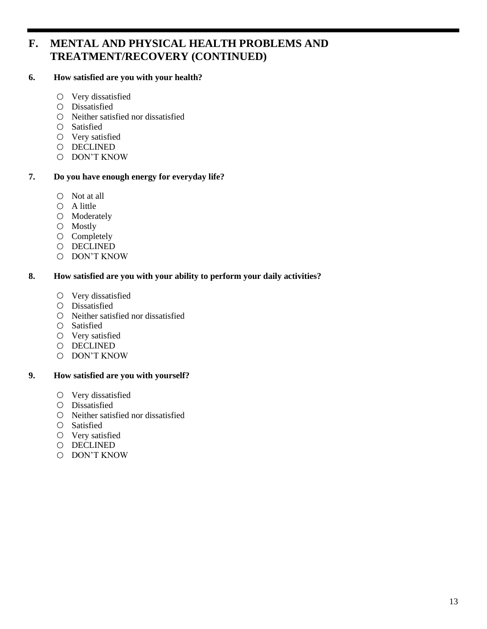### **F. MENTAL AND PHYSICAL HEALTH PROBLEMS AND TREATMENT/RECOVERY (CONTINUED)**

#### **6. How satisfied are you with your health?**

- Very dissatisfied
- Dissatisfied
- Neither satisfied nor dissatisfied
- Satisfied
- Very satisfied
- O DECLINED
- DON'T KNOW

#### **7. Do you have enough energy for everyday life?**

- $\circ$  Not at all
- $O$  A little
- Moderately
- Mostly
- $\circ$  Completely
- O DECLINED
- DON'T KNOW

#### **8. How satisfied are you with your ability to perform your daily activities?**

- $\circ$  Very dissatisfied
- Dissatisfied
- $\circ$  Neither satisfied nor dissatisfied
- Satisfied
- Very satisfied
- O DECLINED
- DON'T KNOW

#### **9. How satisfied are you with yourself?**

- Very dissatisfied
- Dissatisfied
- Neither satisfied nor dissatisfied
- Satisfied
- Very satisfied
- O DECLINED
- DON'T KNOW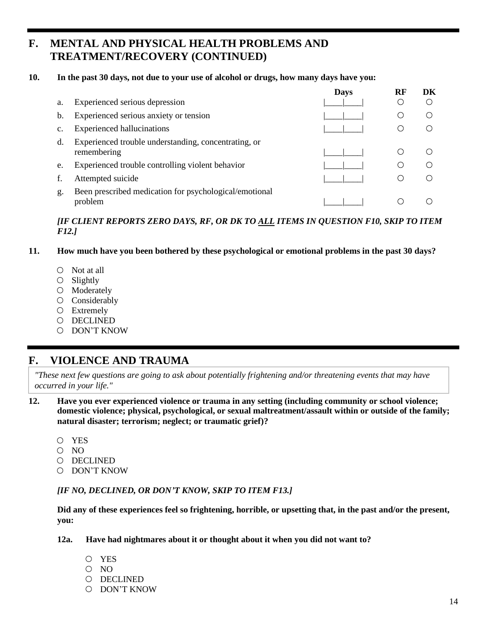### **F. MENTAL AND PHYSICAL HEALTH PROBLEMS AND TREATMENT/RECOVERY (CONTINUED)**

#### **10. In the past 30 days, not due to your use of alcohol or drugs, how many days have you:**

|    |                                                                     | <b>Days</b> | RF | DK |
|----|---------------------------------------------------------------------|-------------|----|----|
| a. | Experienced serious depression                                      |             |    |    |
| b. | Experienced serious anxiety or tension                              |             |    |    |
| c. | <b>Experienced hallucinations</b>                                   |             |    |    |
| d. | Experienced trouble understanding, concentrating, or<br>remembering |             |    |    |
| e. | Experienced trouble controlling violent behavior                    |             |    |    |
|    | Attempted suicide                                                   |             |    |    |
| g. | Been prescribed medication for psychological/emotional<br>problem   |             |    |    |

#### *[IF CLIENT REPORTS ZERO DAYS, RF, OR DK TO ALL ITEMS IN QUESTION F10, SKIP TO ITEM F12.]*

#### **11. How much have you been bothered by these psychological or emotional problems in the past 30 days?**

- $\circ$  Not at all
- $\bigcirc$  Slightly
- O Moderately
- O Considerably
- Extremely
- DECLINED
- DON'T KNOW

### **F. VIOLENCE AND TRAUMA**

*"These next few questions are going to ask about potentially frightening and/or threatening events that may have occurred in your life."*

- **12. Have you ever experienced violence or trauma in any setting (including community or school violence; domestic violence; physical, psychological, or sexual maltreatment/assault within or outside of the family; natural disaster; terrorism; neglect; or traumatic grief)?**
	- YES
	- $O$  NO
	- DECLINED
	- DON'T KNOW

#### *[IF NO, DECLINED, OR DON'T KNOW, SKIP TO ITEM F13.]*

**Did any of these experiences feel so frightening, horrible, or upsetting that, in the past and/or the present, you:**

- **12a. Have had nightmares about it or thought about it when you did not want to?**
	- YES
	- $O$  NO
	- DECLINED
	- DON'T KNOW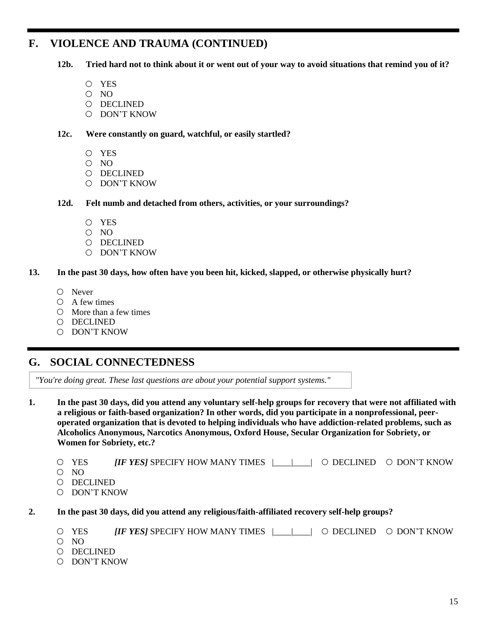### **F. VIOLENCE AND TRAUMA (CONTINUED)**

**12b. Tried hard not to think about it or went out of your way to avoid situations that remind you of it?**

- YES
- O NO
- O DECLINED
- DON'T KNOW

#### **12c. Were constantly on guard, watchful, or easily startled?**

- YES
- O NO
- DECLINED
- O DON'T KNOW
- **12d. Felt numb and detached from others, activities, or your surroundings?**
	- YES
	- O NO
	- DECLINED
	- DON'T KNOW

#### **13. In the past 30 days, how often have you been hit, kicked, slapped, or otherwise physically hurt?**

- Never
- $O$  A few times
- $\circ$  More than a few times
- DECLINED
- O DON'T KNOW

### **G. SOCIAL CONNECTEDNESS**

*"You're doing great. These last questions are about your potential support systems."*

**1. In the past 30 days, did you attend any voluntary self-help groups for recovery that were not affiliated with a religious or faith-based organization? In other words, did you participate in a nonprofessional, peeroperated organization that is devoted to helping individuals who have addiction-related problems, such as Alcoholics Anonymous, Narcotics Anonymous, Oxford House, Secular Organization for Sobriety, or Women for Sobriety, etc.?**

- YES *[IF YES]* SPECIFY HOW MANY TIMES |\_\_\_\_|\_\_\_\_| DECLINED DON'T KNOW
- O NO
- DECLINED
- DON'T KNOW
- **2. In the past 30 days, did you attend any religious/faith-affiliated recovery self-help groups?**
	- $\circ$  YES *[IF YES]* SPECIFY HOW MANY TIMES  $\Box$   $\circ$  DECLINED  $\circ$  DON'T KNOW
	- O NO
	- DECLINED
	- DON'T KNOW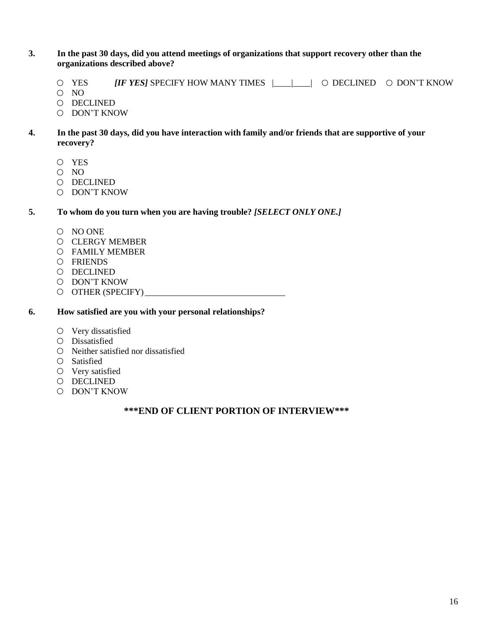#### **3. In the past 30 days, did you attend meetings of organizations that support recovery other than the organizations described above?**

- O YES *[IF YES]* SPECIFY HOW MANY TIMES  $\Box$  O DECLINED O DON'T KNOW
- O NO
- DECLINED
- DON'T KNOW
- **4. In the past 30 days, did you have interaction with family and/or friends that are supportive of your recovery?**
	- YES
	- $O$  NO
	- DECLINED
	- O DON'T KNOW

#### **5. To whom do you turn when you are having trouble?** *[SELECT ONLY ONE.]*

- O NO ONE
- CLERGY MEMBER
- FAMILY MEMBER
- FRIENDS
- O DECLINED
- O DON'T KNOW
- OTHER (SPECIFY) \_\_\_\_\_\_\_\_\_\_\_\_\_\_\_\_\_\_\_\_\_\_\_\_\_\_\_\_\_\_\_\_

#### **6. How satisfied are you with your personal relationships?**

- Very dissatisfied
- Dissatisfied
- $\circ$  Neither satisfied nor dissatisfied
- Satisfied
- Very satisfied
- DECLINED
- DON'T KNOW

#### **\*\*\*END OF CLIENT PORTION OF INTERVIEW\*\*\***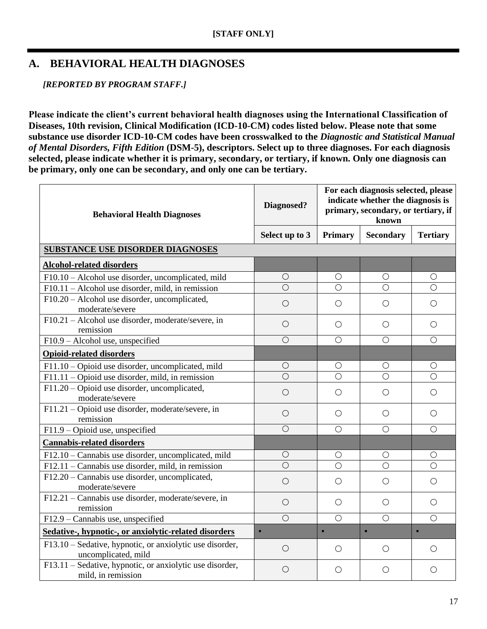### **A. BEHAVIORAL HEALTH DIAGNOSES**

*[REPORTED BY PROGRAM STAFF.]*

**Please indicate the client's current behavioral health diagnoses using the International Classification of Diseases, 10th revision, Clinical Modification (ICD-10-CM) codes listed below. Please note that some substance use disorder ICD-10-CM codes have been crosswalked to the** *Diagnostic and Statistical Manual of Mental Disorders, Fifth Edition* **(DSM-5), descriptors. Select up to three diagnoses. For each diagnosis selected, please indicate whether it is primary, secondary, or tertiary, if known. Only one diagnosis can be primary, only one can be secondary, and only one can be tertiary.**

| <b>Behavioral Health Diagnoses</b>                                              | Diagnosed?     | For each diagnosis selected, please<br>indicate whether the diagnosis is<br>primary, secondary, or tertiary, if<br>known |                  |                 |
|---------------------------------------------------------------------------------|----------------|--------------------------------------------------------------------------------------------------------------------------|------------------|-----------------|
|                                                                                 | Select up to 3 | <b>Primary</b>                                                                                                           | <b>Secondary</b> | <b>Tertiary</b> |
| SUBSTANCE USE DISORDER DIAGNOSES                                                |                |                                                                                                                          |                  |                 |
| <b>Alcohol-related disorders</b>                                                |                |                                                                                                                          |                  |                 |
| F10.10 - Alcohol use disorder, uncomplicated, mild                              | $\bigcirc$     | О                                                                                                                        | $\bigcirc$       | О               |
| $F10.11 - Alcohol$ use disorder, mild, in remission                             | $\bigcirc$     | $\bigcirc$                                                                                                               | $\bigcirc$       | $\bigcirc$      |
| F10.20 - Alcohol use disorder, uncomplicated,<br>moderate/severe                | $\bigcirc$     | $\bigcirc$                                                                                                               | $\bigcirc$       | $\bigcirc$      |
| F10.21 - Alcohol use disorder, moderate/severe, in<br>remission                 | $\bigcirc$     | $\bigcirc$                                                                                                               | $\bigcirc$       | $\bigcirc$      |
| F10.9 - Alcohol use, unspecified                                                | $\bigcirc$     | $\bigcirc$                                                                                                               | $\bigcirc$       | $\bigcirc$      |
| <b>Opioid-related disorders</b>                                                 |                |                                                                                                                          |                  |                 |
| F11.10 – Opioid use disorder, uncomplicated, mild                               | $\bigcirc$     | $\bigcirc$                                                                                                               | $\bigcirc$       | $\bigcirc$      |
| $F11.11 - Opioid$ use disorder, mild, in remission                              | $\bigcirc$     | $\bigcirc$                                                                                                               | $\circ$          | $\bigcirc$      |
| F11.20 – Opioid use disorder, uncomplicated,<br>moderate/severe                 | $\bigcirc$     | $\bigcirc$                                                                                                               | $\bigcirc$       | $\bigcirc$      |
| F11.21 - Opioid use disorder, moderate/severe, in<br>remission                  | $\bigcirc$     | О                                                                                                                        | $\bigcirc$       | O               |
| F11.9 - Opioid use, unspecified                                                 | $\bigcirc$     | $\bigcirc$                                                                                                               | $\circ$          | $\circ$         |
| <b>Cannabis-related disorders</b>                                               |                |                                                                                                                          |                  |                 |
| F12.10 - Cannabis use disorder, uncomplicated, mild                             | $\bigcirc$     | $\bigcirc$                                                                                                               | $\bigcirc$       | $\bigcirc$      |
| F12.11 – Cannabis use disorder, mild, in remission                              | $\bigcirc$     | $\circ$                                                                                                                  | $\bigcirc$       | $\circ$         |
| F12.20 – Cannabis use disorder, uncomplicated,<br>moderate/severe               | $\bigcirc$     | $\bigcirc$                                                                                                               | $\bigcirc$       | $\bigcirc$      |
| F12.21 - Cannabis use disorder, moderate/severe, in<br>remission                | $\bigcirc$     | $\bigcirc$                                                                                                               | $\bigcirc$       | $\bigcirc$      |
| F12.9 - Cannabis use, unspecified                                               | $\bigcirc$     | $\circ$                                                                                                                  | $\bigcirc$       | $\bigcirc$      |
| Sedative-, hypnotic-, or anxiolytic-related disorders                           | $\blacksquare$ | $\blacksquare$                                                                                                           | ×,               | $\blacksquare$  |
| F13.10 – Sedative, hypnotic, or anxiolytic use disorder,<br>uncomplicated, mild | $\bigcirc$     | О                                                                                                                        | О                | О               |
| F13.11 – Sedative, hypnotic, or anxiolytic use disorder,<br>mild, in remission  | $\bigcirc$     | $\bigcirc$                                                                                                               | $\bigcirc$       | О               |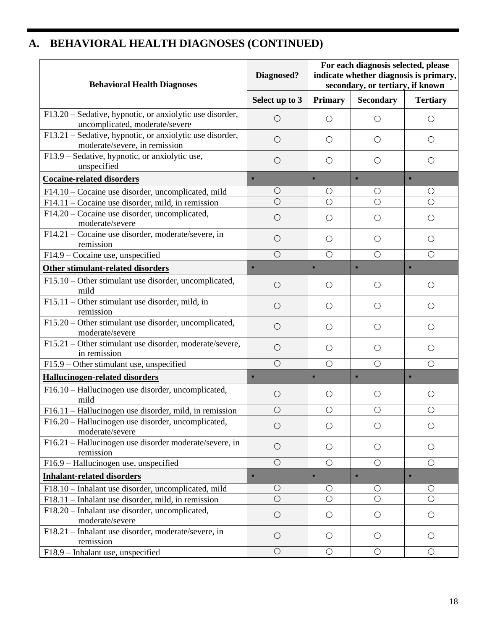| <b>Behavioral Health Diagnoses</b>                                                         | Diagnosed?     | For each diagnosis selected, please<br>indicate whether diagnosis is primary,<br>secondary, or tertiary, if known |                  |                 |
|--------------------------------------------------------------------------------------------|----------------|-------------------------------------------------------------------------------------------------------------------|------------------|-----------------|
|                                                                                            | Select up to 3 | <b>Primary</b>                                                                                                    | <b>Secondary</b> | <b>Tertiary</b> |
| F13.20 – Sedative, hypnotic, or anxiolytic use disorder,<br>uncomplicated, moderate/severe | $\bigcirc$     | $\bigcirc$                                                                                                        | $\bigcirc$       | $\bigcirc$      |
| F13.21 - Sedative, hypnotic, or anxiolytic use disorder,<br>moderate/severe, in remission  | $\bigcirc$     | $\bigcirc$                                                                                                        | $\bigcirc$       | $\bigcirc$      |
| F13.9 – Sedative, hypnotic, or anxiolytic use,<br>unspecified                              | $\bigcirc$     | $\bigcirc$                                                                                                        | $\bigcirc$       | $\bigcirc$      |
| <b>Cocaine-related disorders</b>                                                           | ٠              | $\blacksquare$                                                                                                    | ٠                | п               |
| F14.10 – Cocaine use disorder, uncomplicated, mild                                         | $\bigcirc$     | O                                                                                                                 | $\bigcirc$       | $\bigcirc$      |
| $F14.11$ – Cocaine use disorder, mild, in remission                                        | $\bigcirc$     | $\bigcirc$                                                                                                        | $\bigcirc$       | $\bigcirc$      |
| F14.20 - Cocaine use disorder, uncomplicated,<br>moderate/severe                           | $\bigcirc$     | $\bigcirc$                                                                                                        | $\bigcirc$       | $\bigcirc$      |
| F14.21 – Cocaine use disorder, moderate/severe, in<br>remission                            | $\bigcirc$     | $\bigcirc$                                                                                                        | $\bigcirc$       | $\bigcirc$      |
| F14.9 - Cocaine use, unspecified                                                           | $\bigcirc$     | $\circ$                                                                                                           | $\bigcirc$       | $\bigcirc$      |
| <b>Other stimulant-related disorders</b>                                                   | ×,             | ٠                                                                                                                 | н                | ٠               |
| F15.10 – Other stimulant use disorder, uncomplicated,<br>mild                              | $\bigcirc$     | $\bigcirc$                                                                                                        | $\bigcirc$       | $\bigcirc$      |
| F15.11 – Other stimulant use disorder, mild, in<br>remission                               | $\bigcirc$     | $\bigcirc$                                                                                                        | $\bigcirc$       | $\bigcirc$      |
| F15.20 – Other stimulant use disorder, uncomplicated,<br>moderate/severe                   | $\bigcirc$     | $\bigcirc$                                                                                                        | $\bigcirc$       | $\bigcirc$      |
| F15.21 – Other stimulant use disorder, moderate/severe,<br>in remission                    | $\bigcirc$     | $\bigcirc$                                                                                                        | $\bigcirc$       | $\bigcirc$      |
| F15.9 – Other stimulant use, unspecified                                                   | $\circ$        | $\bigcirc$                                                                                                        | $\bigcirc$       | $\bigcirc$      |
| <b>Hallucinogen-related disorders</b>                                                      | п              | ٠                                                                                                                 | п                | п               |
| F16.10 - Hallucinogen use disorder, uncomplicated,<br>mild                                 | $\bigcirc$     | $\bigcirc$                                                                                                        | $\bigcirc$       | $\bigcirc$      |
| F16.11 - Hallucinogen use disorder, mild, in remission                                     | $\bigcirc$     | $\bigcirc$                                                                                                        | $\bigcirc$       | $\bigcirc$      |
| F16.20 – Hallucinogen use disorder, uncomplicated,<br>moderate/severe                      | $\bigcirc$     | $\bigcirc$                                                                                                        | $\bigcirc$       | $\bigcirc$      |
| F16.21 - Hallucinogen use disorder moderate/severe, in<br>remission                        | $\bigcirc$     | $\bigcirc$                                                                                                        | $\bigcirc$       | $\bigcirc$      |
| F16.9 - Hallucinogen use, unspecified                                                      | $\bigcirc$     | $\bigcirc$                                                                                                        | $\bigcirc$       | $\bigcirc$      |
| <b>Inhalant-related disorders</b>                                                          | ٠              | ٠                                                                                                                 | п                | п               |
| F18.10 - Inhalant use disorder, uncomplicated, mild                                        | $\bigcirc$     | O                                                                                                                 | $\bigcirc$       | $\bigcirc$      |
| F18.11 - Inhalant use disorder, mild, in remission                                         | $\bigcirc$     | $\bigcirc$                                                                                                        | $\bigcirc$       | $\bigcirc$      |
| F18.20 - Inhalant use disorder, uncomplicated,<br>moderate/severe                          | $\bigcirc$     | $\bigcirc$                                                                                                        | $\bigcirc$       | $\bigcirc$      |
| F18.21 - Inhalant use disorder, moderate/severe, in<br>remission                           | $\bigcirc$     | $\bigcirc$                                                                                                        | $\bigcirc$       | $\bigcirc$      |
| F18.9 - Inhalant use, unspecified                                                          | $\bigcirc$     | $\bigcirc$                                                                                                        | $\bigcirc$       | $\bigcirc$      |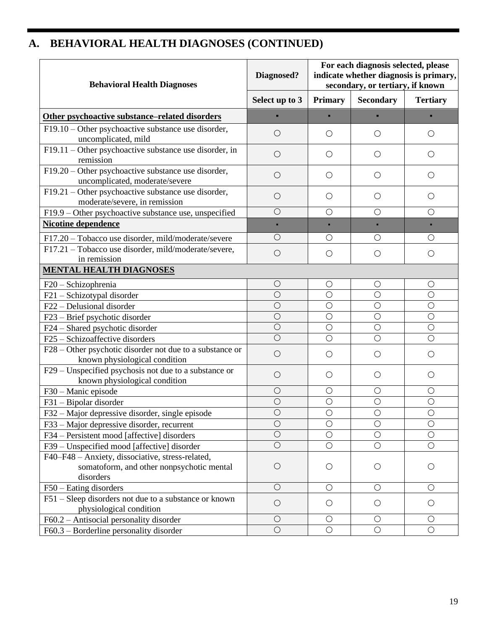| <b>Behavioral Health Diagnoses</b>                                                            | Diagnosed?     | For each diagnosis selected, please<br>indicate whether diagnosis is primary,<br>secondary, or tertiary, if known |                  |                 |
|-----------------------------------------------------------------------------------------------|----------------|-------------------------------------------------------------------------------------------------------------------|------------------|-----------------|
|                                                                                               | Select up to 3 | <b>Primary</b>                                                                                                    | <b>Secondary</b> | <b>Tertiary</b> |
| Other psychoactive substance-related disorders                                                |                |                                                                                                                   |                  |                 |
| F19.10 – Other psychoactive substance use disorder,<br>uncomplicated, mild                    | $\bigcirc$     | Ο                                                                                                                 | O                | O               |
| F19.11 – Other psychoactive substance use disorder, in<br>remission                           | $\bigcirc$     | $\bigcirc$                                                                                                        | $\bigcirc$       | $\bigcirc$      |
| F19.20 – Other psychoactive substance use disorder,<br>uncomplicated, moderate/severe         | $\bigcirc$     | $\bigcirc$                                                                                                        | $\bigcirc$       | $\bigcirc$      |
| F19.21 – Other psychoactive substance use disorder,<br>moderate/severe, in remission          | $\bigcirc$     | $\bigcirc$                                                                                                        | $\bigcirc$       | O               |
| F19.9 – Other psychoactive substance use, unspecified                                         | $\bigcirc$     | $\bigcirc$                                                                                                        | $\bigcirc$       | $\bigcirc$      |
| <b>Nicotine dependence</b>                                                                    | п              |                                                                                                                   | ٠                |                 |
| F17.20 - Tobacco use disorder, mild/moderate/severe                                           | $\bigcirc$     | О                                                                                                                 | $\bigcirc$       | О               |
| F17.21 - Tobacco use disorder, mild/moderate/severe,<br>in remission                          | $\bigcirc$     | $\bigcirc$                                                                                                        | $\bigcirc$       | $\bigcirc$      |
| <b>MENTAL HEALTH DIAGNOSES</b>                                                                |                |                                                                                                                   |                  |                 |
| $F20 - Schizophrenia$                                                                         | $\bigcirc$     | $\bigcirc$                                                                                                        | $\bigcirc$       | $\bigcirc$      |
| F21 - Schizotypal disorder                                                                    | $\bigcirc$     | $\bigcirc$                                                                                                        | $\bigcirc$       | $\bigcirc$      |
| F22 - Delusional disorder                                                                     | $\bigcirc$     | $\bigcirc$                                                                                                        | $\bigcirc$       | $\bigcirc$      |
| F23 - Brief psychotic disorder                                                                | $\bigcirc$     | $\bigcirc$                                                                                                        | $\bigcirc$       | $\bigcirc$      |
| F24 - Shared psychotic disorder                                                               | $\bigcirc$     | $\bigcirc$                                                                                                        | $\bigcirc$       | $\bigcirc$      |
| F25 - Schizoaffective disorders                                                               | $\bigcirc$     | $\bigcirc$                                                                                                        | $\bigcirc$       | $\bigcirc$      |
| F28 – Other psychotic disorder not due to a substance or<br>known physiological condition     | $\bigcirc$     | $\bigcirc$                                                                                                        | $\bigcirc$       | $\bigcirc$      |
| F29 – Unspecified psychosis not due to a substance or<br>known physiological condition        | $\bigcirc$     | $\bigcirc$                                                                                                        | $\bigcirc$       | $\bigcirc$      |
| F30 - Manic episode                                                                           | $\bigcirc$     | $\bigcirc$                                                                                                        | $\bigcirc$       | $\bigcirc$      |
| $F31 - Bipolar disorder$                                                                      | $\bigcirc$     | $\bigcirc$                                                                                                        | $\bigcirc$       | $\bigcirc$      |
| F32 - Major depressive disorder, single episode                                               | $\bigcirc$     | $\bigcirc$                                                                                                        | $\bigcirc$       | $\circ$         |
| F33 – Major depressive disorder, recurrent                                                    | $\bigcirc$     | $\bigcirc$                                                                                                        | $\bigcirc$       | $\bigcirc$      |
| F34 – Persistent mood [affective] disorders                                                   | $\bigcirc$     | $\bigcirc$                                                                                                        | $\bigcirc$       | $\bigcirc$      |
| F39 - Unspecified mood [affective] disorder                                                   | $\bigcirc$     | $\bigcirc$                                                                                                        | $\bigcirc$       | $\bigcirc$      |
| F40-F48 - Anxiety, dissociative, stress-related,<br>somatoform, and other nonpsychotic mental | $\bigcirc$     | $\bigcirc$                                                                                                        | $\bigcirc$       | O               |
| disorders                                                                                     | $\bigcirc$     | $\bigcirc$                                                                                                        | $\bigcirc$       | $\bigcirc$      |
| $F50 -$ Eating disorders<br>F51 – Sleep disorders not due to a substance or known             |                |                                                                                                                   |                  |                 |
| physiological condition                                                                       | $\bigcirc$     | $\bigcirc$                                                                                                        | $\bigcirc$       | $\bigcirc$      |
| F60.2 - Antisocial personality disorder                                                       | $\bigcirc$     | $\bigcirc$                                                                                                        | O                | О               |
| $F60.3 - Borderline$ personality disorder                                                     | $\bigcirc$     | $\bigcirc$                                                                                                        | $\bigcirc$       | $\bigcirc$      |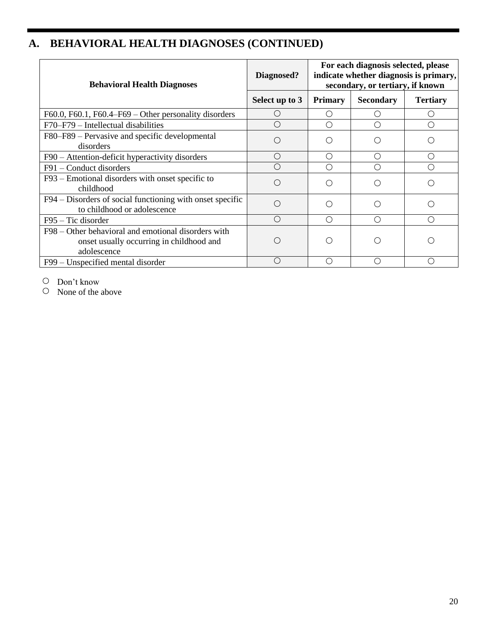| <b>Behavioral Health Diagnoses</b>                                                                             | Diagnosed?                                           | For each diagnosis selected, please<br>indicate whether diagnosis is primary,<br>secondary, or tertiary, if known |                 |    |
|----------------------------------------------------------------------------------------------------------------|------------------------------------------------------|-------------------------------------------------------------------------------------------------------------------|-----------------|----|
|                                                                                                                | <b>Primary</b><br><b>Secondary</b><br>Select up to 3 |                                                                                                                   | <b>Tertiary</b> |    |
| F60.0, F60.1, F60.4–F69 – Other personality disorders                                                          | O                                                    |                                                                                                                   |                 |    |
| $F70-F79$ – Intellectual disabilities                                                                          | $\bigcirc$                                           |                                                                                                                   | ∩               | ∩  |
| F80–F89 – Pervasive and specific developmental<br>disorders                                                    | $\bigcirc$                                           |                                                                                                                   | O               |    |
| F90 – Attention-deficit hyperactivity disorders                                                                | $\bigcirc$                                           | ( )                                                                                                               | ∩               | () |
| F91 – Conduct disorders                                                                                        | ∩                                                    |                                                                                                                   | ∩               |    |
| F93 – Emotional disorders with onset specific to<br>childhood                                                  | $\bigcirc$                                           |                                                                                                                   | ◯               |    |
| F94 – Disorders of social functioning with onset specific<br>to childhood or adolescence                       | ∩                                                    |                                                                                                                   | ◯               |    |
| $F95 - Tic disorder$                                                                                           | ∩                                                    | ( )                                                                                                               | ∩               | () |
| F98 – Other behavioral and emotional disorders with<br>onset usually occurring in childhood and<br>adolescence |                                                      |                                                                                                                   |                 |    |
| F99 – Unspecified mental disorder                                                                              | $\bigcirc$                                           | ◯                                                                                                                 | ∩               | ∩  |

Don't know

 $\circ$  None of the above